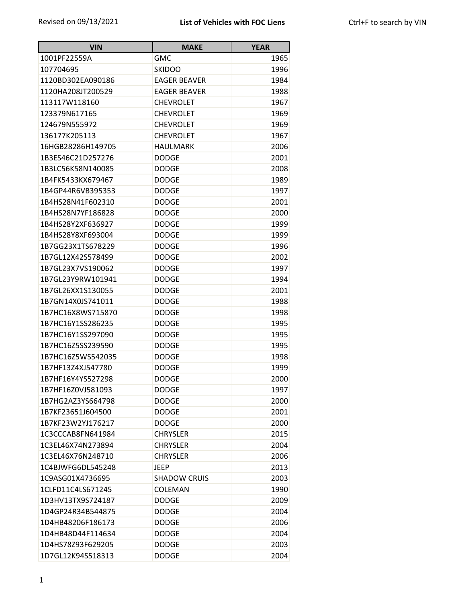| <b>VIN</b>        | <b>MAKE</b>         | <b>YEAR</b> |
|-------------------|---------------------|-------------|
| 1001PF22559A      | <b>GMC</b>          | 1965        |
| 107704695         | <b>SKIDOO</b>       | 1996        |
| 1120BD302EA090186 | <b>EAGER BEAVER</b> | 1984        |
| 1120HA208JT200529 | <b>EAGER BEAVER</b> | 1988        |
| 113117W118160     | <b>CHEVROLET</b>    | 1967        |
| 123379N617165     | <b>CHEVROLET</b>    | 1969        |
| 124679N555972     | <b>CHEVROLET</b>    | 1969        |
| 136177K205113     | <b>CHEVROLET</b>    | 1967        |
| 16HGB28286H149705 | <b>HAULMARK</b>     | 2006        |
| 1B3ES46C21D257276 | <b>DODGE</b>        | 2001        |
| 1B3LC56K58N140085 | <b>DODGE</b>        | 2008        |
| 1B4FK5433KX679467 | <b>DODGE</b>        | 1989        |
| 1B4GP44R6VB395353 | <b>DODGE</b>        | 1997        |
| 1B4HS28N41F602310 | <b>DODGE</b>        | 2001        |
| 1B4HS28N7YF186828 | <b>DODGE</b>        | 2000        |
| 1B4HS28Y2XF636927 | <b>DODGE</b>        | 1999        |
| 1B4HS28Y8XF693004 | <b>DODGE</b>        | 1999        |
| 1B7GG23X1TS678229 | <b>DODGE</b>        | 1996        |
| 1B7GL12X42S578499 | <b>DODGE</b>        | 2002        |
| 1B7GL23X7VS190062 | <b>DODGE</b>        | 1997        |
| 1B7GL23Y9RW101941 | <b>DODGE</b>        | 1994        |
| 1B7GL26XX1S130055 | <b>DODGE</b>        | 2001        |
| 1B7GN14X0JS741011 | <b>DODGE</b>        | 1988        |
| 1B7HC16X8WS715870 | <b>DODGE</b>        | 1998        |
| 1B7HC16Y1SS286235 | <b>DODGE</b>        | 1995        |
| 1B7HC16Y1SS297090 | <b>DODGE</b>        | 1995        |
| 1B7HC16Z5SS239590 | <b>DODGE</b>        | 1995        |
| 1B7HC16Z5WS542035 | <b>DODGE</b>        | 1998        |
| 1B7HF13Z4XJ547780 | <b>DODGE</b>        | 1999        |
| 1B7HF16Y4YS527298 | <b>DODGE</b>        | 2000        |
| 1B7HF16Z0VJ581093 | <b>DODGE</b>        | 1997        |
| 1B7HG2AZ3YS664798 | <b>DODGE</b>        | 2000        |
| 1B7KF23651J604500 | <b>DODGE</b>        | 2001        |
| 1B7KF23W2YJ176217 | <b>DODGE</b>        | 2000        |
| 1C3CCCAB8FN641984 | <b>CHRYSLER</b>     | 2015        |
| 1C3EL46X74N273894 | <b>CHRYSLER</b>     | 2004        |
| 1C3EL46X76N248710 | <b>CHRYSLER</b>     | 2006        |
| 1C4BJWFG6DL545248 | <b>JEEP</b>         | 2013        |
| 1C9ASG01X4736695  | <b>SHADOW CRUIS</b> | 2003        |
| 1CLFD11C4LS671245 | <b>COLEMAN</b>      | 1990        |
| 1D3HV13TX9S724187 | <b>DODGE</b>        | 2009        |
| 1D4GP24R34B544875 | <b>DODGE</b>        | 2004        |
| 1D4HB48206F186173 | <b>DODGE</b>        | 2006        |
| 1D4HB48D44F114634 | <b>DODGE</b>        | 2004        |
| 1D4HS78Z93F629205 | <b>DODGE</b>        | 2003        |
| 1D7GL12K94S518313 | <b>DODGE</b>        | 2004        |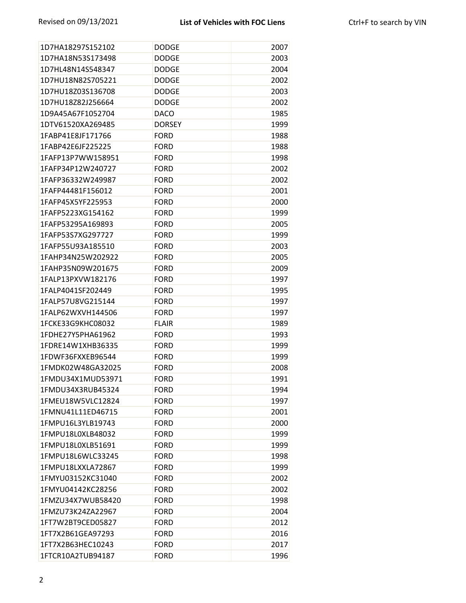| 1D7HA18297S152102 | <b>DODGE</b>  | 2007 |
|-------------------|---------------|------|
| 1D7HA18N53S173498 | <b>DODGE</b>  | 2003 |
| 1D7HL48N14S548347 | <b>DODGE</b>  | 2004 |
| 1D7HU18N82S705221 | <b>DODGE</b>  | 2002 |
| 1D7HU18Z03S136708 | <b>DODGE</b>  | 2003 |
| 1D7HU18Z82J256664 | <b>DODGE</b>  | 2002 |
| 1D9A45A67F1052704 | <b>DACO</b>   | 1985 |
| 1DTV61520XA269485 | <b>DORSEY</b> | 1999 |
| 1FABP41E8JF171766 | <b>FORD</b>   | 1988 |
| 1FABP42E6JF225225 | <b>FORD</b>   | 1988 |
| 1FAFP13P7WW158951 | <b>FORD</b>   | 1998 |
| 1FAFP34P12W240727 | <b>FORD</b>   | 2002 |
| 1FAFP36332W249987 | <b>FORD</b>   | 2002 |
| 1FAFP44481F156012 | <b>FORD</b>   | 2001 |
| 1FAFP45X5YF225953 | <b>FORD</b>   | 2000 |
| 1FAFP5223XG154162 | <b>FORD</b>   | 1999 |
| 1FAFP53295A169893 | <b>FORD</b>   | 2005 |
| 1FAFP53S7XG297727 | <b>FORD</b>   | 1999 |
| 1FAFP55U93A185510 | <b>FORD</b>   | 2003 |
| 1FAHP34N25W202922 | <b>FORD</b>   | 2005 |
| 1FAHP35N09W201675 | <b>FORD</b>   | 2009 |
| 1FALP13PXVW182176 | <b>FORD</b>   | 1997 |
| 1FALP4041SF202449 | <b>FORD</b>   | 1995 |
| 1FALP57U8VG215144 | <b>FORD</b>   | 1997 |
| 1FALP62WXVH144506 | <b>FORD</b>   | 1997 |
| 1FCKE33G9KHC08032 | <b>FLAIR</b>  | 1989 |
| 1FDHE27Y5PHA61962 | <b>FORD</b>   | 1993 |
| 1FDRE14W1XHB36335 | <b>FORD</b>   | 1999 |
| 1FDWF36FXXEB96544 | <b>FORD</b>   | 1999 |
| 1FMDK02W48GA32025 | <b>FORD</b>   | 2008 |
| 1FMDU34X1MUD53971 | <b>FORD</b>   | 1991 |
| 1FMDU34X3RUB45324 | <b>FORD</b>   | 1994 |
| 1FMEU18W5VLC12824 | <b>FORD</b>   | 1997 |
| 1FMNU41L11ED46715 | <b>FORD</b>   | 2001 |
| 1FMPU16L3YLB19743 | <b>FORD</b>   | 2000 |
| 1FMPU18L0XLB48032 | <b>FORD</b>   | 1999 |
| 1FMPU18L0XLB51691 | <b>FORD</b>   | 1999 |
| 1FMPU18L6WLC33245 | <b>FORD</b>   | 1998 |
| 1FMPU18LXXLA72867 | <b>FORD</b>   | 1999 |
| 1FMYU03152KC31040 | <b>FORD</b>   | 2002 |
| 1FMYU04142KC28256 | <b>FORD</b>   | 2002 |
| 1FMZU34X7WUB58420 | <b>FORD</b>   | 1998 |
| 1FMZU73K24ZA22967 | <b>FORD</b>   | 2004 |
| 1FT7W2BT9CED05827 | <b>FORD</b>   | 2012 |
| 1FT7X2B61GEA97293 | <b>FORD</b>   | 2016 |
| 1FT7X2B63HEC10243 | <b>FORD</b>   | 2017 |
| 1FTCR10A2TUB94187 | <b>FORD</b>   | 1996 |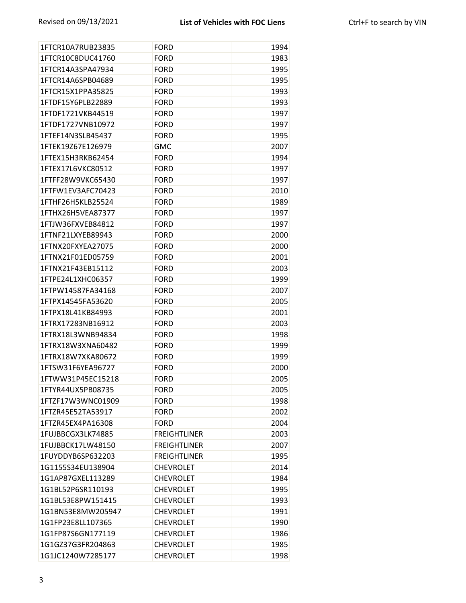| 1FTCR10A7RUB23835 | <b>FORD</b>         | 1994 |
|-------------------|---------------------|------|
| 1FTCR10C8DUC41760 | <b>FORD</b>         | 1983 |
| 1FTCR14A3SPA47934 | <b>FORD</b>         | 1995 |
| 1FTCR14A6SPB04689 | <b>FORD</b>         | 1995 |
| 1FTCR15X1PPA35825 | <b>FORD</b>         | 1993 |
| 1FTDF15Y6PLB22889 | <b>FORD</b>         | 1993 |
| 1FTDF1721VKB44519 | <b>FORD</b>         | 1997 |
| 1FTDF1727VNB10972 | <b>FORD</b>         | 1997 |
| 1FTEF14N3SLB45437 | <b>FORD</b>         | 1995 |
| 1FTEK19Z67E126979 | <b>GMC</b>          | 2007 |
| 1FTEX15H3RKB62454 | <b>FORD</b>         | 1994 |
| 1FTEX17L6VKC80512 | <b>FORD</b>         | 1997 |
| 1FTFF28W9VKC65430 | <b>FORD</b>         | 1997 |
| 1FTFW1EV3AFC70423 | <b>FORD</b>         | 2010 |
| 1FTHF26H5KLB25524 | <b>FORD</b>         | 1989 |
| 1FTHX26H5VEA87377 | <b>FORD</b>         | 1997 |
| 1FTJW36FXVEB84812 | <b>FORD</b>         | 1997 |
| 1FTNF21LXYEB89943 | <b>FORD</b>         | 2000 |
| 1FTNX20FXYEA27075 | <b>FORD</b>         | 2000 |
| 1FTNX21F01ED05759 | <b>FORD</b>         | 2001 |
| 1FTNX21F43EB15112 | <b>FORD</b>         | 2003 |
| 1FTPE24L1XHC06357 | <b>FORD</b>         | 1999 |
| 1FTPW14587FA34168 | <b>FORD</b>         | 2007 |
| 1FTPX14545FA53620 | <b>FORD</b>         | 2005 |
| 1FTPX18L41KB84993 | <b>FORD</b>         | 2001 |
| 1FTRX17283NB16912 | <b>FORD</b>         | 2003 |
| 1FTRX18L3WNB94834 | <b>FORD</b>         | 1998 |
| 1FTRX18W3XNA60482 | <b>FORD</b>         | 1999 |
| 1FTRX18W7XKA80672 | <b>FORD</b>         | 1999 |
| 1FTSW31F6YEA96727 | <b>FORD</b>         | 2000 |
| 1FTWW31P45EC15218 | <b>FORD</b>         | 2005 |
| 1FTYR44UX5PB08735 | <b>FORD</b>         | 2005 |
| 1FTZF17W3WNC01909 | <b>FORD</b>         | 1998 |
| 1FTZR45E52TA53917 | <b>FORD</b>         | 2002 |
| 1FTZR45EX4PA16308 | <b>FORD</b>         | 2004 |
| 1FUJBBCGX3LK74885 | <b>FREIGHTLINER</b> | 2003 |
| 1FUJBBCK17LW48150 | <b>FREIGHTLINER</b> | 2007 |
| 1FUYDDYB6SP632203 | <b>FREIGHTLINER</b> | 1995 |
| 1G1155S34EU138904 | <b>CHEVROLET</b>    | 2014 |
| 1G1AP87GXEL113289 | <b>CHEVROLET</b>    | 1984 |
| 1G1BL52P6SR110193 | <b>CHEVROLET</b>    | 1995 |
| 1G1BL53E8PW151415 | <b>CHEVROLET</b>    | 1993 |
| 1G1BN53E8MW205947 | <b>CHEVROLET</b>    | 1991 |
| 1G1FP23E8LL107365 | <b>CHEVROLET</b>    | 1990 |
| 1G1FP87S6GN177119 | <b>CHEVROLET</b>    | 1986 |
| 1G1GZ37G3FR204863 | <b>CHEVROLET</b>    | 1985 |
| 1G1JC1240W7285177 | <b>CHEVROLET</b>    | 1998 |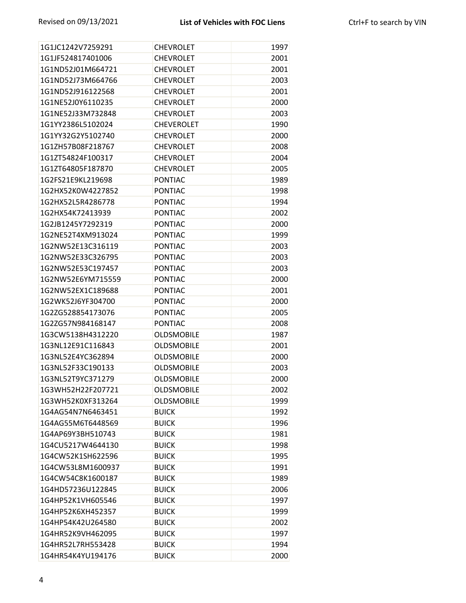| 1G1JC1242V7259291 | <b>CHEVROLET</b>  | 1997 |
|-------------------|-------------------|------|
| 1G1JF524817401006 | <b>CHEVROLET</b>  | 2001 |
| 1G1ND52J01M664721 | <b>CHEVROLET</b>  | 2001 |
| 1G1ND52J73M664766 | <b>CHEVROLET</b>  | 2003 |
| 1G1ND52J916122568 | <b>CHEVROLET</b>  | 2001 |
| 1G1NE52J0Y6110235 | <b>CHEVROLET</b>  | 2000 |
| 1G1NE52J33M732848 | <b>CHEVROLET</b>  | 2003 |
| 1G1YY2386L5102024 | <b>CHEVEROLET</b> | 1990 |
| 1G1YY32G2Y5102740 | <b>CHEVROLET</b>  | 2000 |
| 1G1ZH57B08F218767 | <b>CHEVROLET</b>  | 2008 |
| 1G1ZT54824F100317 | <b>CHEVROLET</b>  | 2004 |
| 1G1ZT64805F187870 | <b>CHEVROLET</b>  | 2005 |
| 1G2FS21E9KL219698 | <b>PONTIAC</b>    | 1989 |
| 1G2HX52K0W4227852 | PONTIAC           | 1998 |
| 1G2HX52L5R4286778 | PONTIAC           | 1994 |
| 1G2HX54K72413939  | <b>PONTIAC</b>    | 2002 |
| 1G2JB1245Y7292319 | <b>PONTIAC</b>    | 2000 |
| 1G2NE52T4XM913024 | <b>PONTIAC</b>    | 1999 |
| 1G2NW52E13C316119 | PONTIAC           | 2003 |
| 1G2NW52E33C326795 | <b>PONTIAC</b>    | 2003 |
| 1G2NW52E53C197457 | <b>PONTIAC</b>    | 2003 |
| 1G2NW52E6YM715559 | <b>PONTIAC</b>    | 2000 |
| 1G2NW52EX1C189688 | <b>PONTIAC</b>    | 2001 |
| 1G2WK52J6YF304700 | PONTIAC           | 2000 |
| 1G2ZG528854173076 | <b>PONTIAC</b>    | 2005 |
| 1G2ZG57N984168147 | <b>PONTIAC</b>    | 2008 |
| 1G3CW5138H4312220 | <b>OLDSMOBILE</b> | 1987 |
| 1G3NL12E91C116843 | <b>OLDSMOBILE</b> | 2001 |
| 1G3NL52E4YC362894 | <b>OLDSMOBILE</b> | 2000 |
| 1G3NL52F33C190133 | <b>OLDSMOBILE</b> | 2003 |
| 1G3NL52T9YC371279 | <b>OLDSMOBILE</b> | 2000 |
| 1G3WH52H22F207721 | <b>OLDSMOBILE</b> | 2002 |
| 1G3WH52K0XF313264 | <b>OLDSMOBILE</b> | 1999 |
| 1G4AG54N7N6463451 | <b>BUICK</b>      | 1992 |
| 1G4AG55M6T6448569 | <b>BUICK</b>      | 1996 |
| 1G4AP69Y3BH510743 | <b>BUICK</b>      | 1981 |
| 1G4CU5217W4644130 | <b>BUICK</b>      | 1998 |
| 1G4CW52K1SH622596 | <b>BUICK</b>      | 1995 |
| 1G4CW53L8M1600937 | <b>BUICK</b>      | 1991 |
| 1G4CW54C8K1600187 | <b>BUICK</b>      | 1989 |
| 1G4HD57236U122845 | <b>BUICK</b>      | 2006 |
| 1G4HP52K1VH605546 | <b>BUICK</b>      | 1997 |
| 1G4HP52K6XH452357 | <b>BUICK</b>      | 1999 |
| 1G4HP54K42U264580 | <b>BUICK</b>      | 2002 |
| 1G4HR52K9VH462095 | <b>BUICK</b>      | 1997 |
| 1G4HR52L7RH553428 | <b>BUICK</b>      | 1994 |
| 1G4HR54K4YU194176 | <b>BUICK</b>      | 2000 |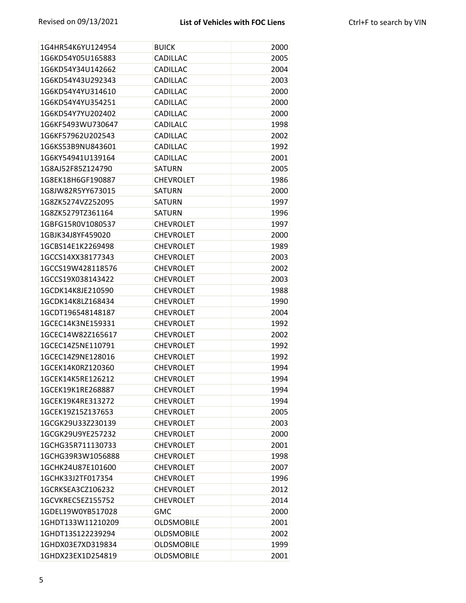| 1G4HR54K6YU124954 | <b>BUICK</b>      | 2000 |
|-------------------|-------------------|------|
| 1G6KD54Y05U165883 | CADILLAC          | 2005 |
| 1G6KD54Y34U142662 | CADILLAC          | 2004 |
| 1G6KD54Y43U292343 | CADILLAC          | 2003 |
| 1G6KD54Y4YU314610 | CADILLAC          | 2000 |
| 1G6KD54Y4YU354251 | CADILLAC          | 2000 |
| 1G6KD54Y7YU202402 | <b>CADILLAC</b>   | 2000 |
| 1G6KF5493WU730647 | <b>CADILALC</b>   | 1998 |
| 1G6KF57962U202543 | CADILLAC          | 2002 |
| 1G6KS53B9NU843601 | CADILLAC          | 1992 |
| 1G6KY54941U139164 | CADILLAC          | 2001 |
| 1G8AJ52F85Z124790 | <b>SATURN</b>     | 2005 |
| 1G8EK18H6GF190887 | <b>CHEVROLET</b>  | 1986 |
| 1G8JW82R5YY673015 | <b>SATURN</b>     | 2000 |
| 1G8ZK5274VZ252095 | SATURN            | 1997 |
| 1G8ZK5279TZ361164 | <b>SATURN</b>     | 1996 |
| 1GBFG15R0V1080537 | <b>CHEVROLET</b>  | 1997 |
| 1GBJK34J8YF459020 | <b>CHEVROLET</b>  | 2000 |
| 1GCBS14E1K2269498 | <b>CHEVROLET</b>  | 1989 |
| 1GCCS14XX38177343 | <b>CHEVROLET</b>  | 2003 |
| 1GCCS19W428118576 | <b>CHEVROLET</b>  | 2002 |
| 1GCCS19X038143422 | <b>CHEVROLET</b>  | 2003 |
| 1GCDK14K8JE210590 | <b>CHEVROLET</b>  | 1988 |
| 1GCDK14K8LZ168434 | <b>CHEVROLET</b>  | 1990 |
| 1GCDT196548148187 | <b>CHEVROLET</b>  | 2004 |
| 1GCEC14K3NE159331 | <b>CHEVROLET</b>  | 1992 |
| 1GCEC14W82Z165617 | <b>CHEVROLET</b>  | 2002 |
| 1GCEC14Z5NE110791 | <b>CHEVROLET</b>  | 1992 |
| 1GCEC14Z9NE128016 | <b>CHEVROLET</b>  | 1992 |
| 1GCEK14K0RZ120360 | <b>CHEVROLET</b>  | 1994 |
| 1GCEK14K5RE126212 | <b>CHEVROLET</b>  | 1994 |
| 1GCEK19K1RE268887 | <b>CHEVROLET</b>  | 1994 |
| 1GCEK19K4RE313272 | <b>CHEVROLET</b>  | 1994 |
| 1GCEK19Z15Z137653 | <b>CHEVROLET</b>  | 2005 |
| 1GCGK29U33Z230139 | <b>CHEVROLET</b>  | 2003 |
| 1GCGK29U9YE257232 | <b>CHEVROLET</b>  | 2000 |
| 1GCHG35R711130733 | <b>CHEVROLET</b>  | 2001 |
| 1GCHG39R3W1056888 | <b>CHEVROLET</b>  | 1998 |
| 1GCHK24U87E101600 | <b>CHEVROLET</b>  | 2007 |
| 1GCHK33J2TF017354 | <b>CHEVROLET</b>  | 1996 |
| 1GCRKSEA3CZ106232 | <b>CHEVROLET</b>  | 2012 |
| 1GCVKREC5EZ155752 | <b>CHEVROLET</b>  | 2014 |
| 1GDEL19W0YB517028 | <b>GMC</b>        | 2000 |
| 1GHDT133W11210209 | <b>OLDSMOBILE</b> | 2001 |
| 1GHDT13S122239294 | <b>OLDSMOBILE</b> | 2002 |
| 1GHDX03E7XD319834 | <b>OLDSMOBILE</b> | 1999 |
| 1GHDX23EX1D254819 | <b>OLDSMOBILE</b> | 2001 |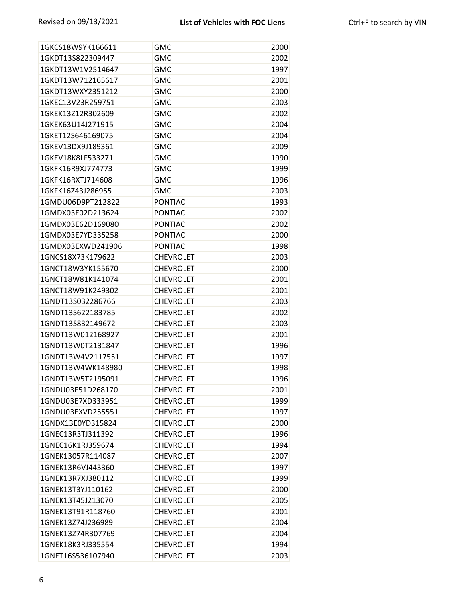| 1GKCS18W9YK166611 | <b>GMC</b>       | 2000 |
|-------------------|------------------|------|
| 1GKDT13S822309447 | <b>GMC</b>       | 2002 |
| 1GKDT13W1V2514647 | <b>GMC</b>       | 1997 |
| 1GKDT13W712165617 | <b>GMC</b>       | 2001 |
| 1GKDT13WXY2351212 | <b>GMC</b>       | 2000 |
| 1GKEC13V23R259751 | <b>GMC</b>       | 2003 |
| 1GKEK13Z12R302609 | <b>GMC</b>       | 2002 |
| 1GKEK63U14J271915 | <b>GMC</b>       | 2004 |
| 1GKET12S646169075 | <b>GMC</b>       | 2004 |
| 1GKEV13DX9J189361 | <b>GMC</b>       | 2009 |
| 1GKEV18K8LF533271 | <b>GMC</b>       | 1990 |
| 1GKFK16R9XJ774773 | <b>GMC</b>       | 1999 |
| 1GKFK16RXTJ714608 | <b>GMC</b>       | 1996 |
| 1GKFK16Z43J286955 | <b>GMC</b>       | 2003 |
| 1GMDU06D9PT212822 | <b>PONTIAC</b>   | 1993 |
| 1GMDX03E02D213624 | <b>PONTIAC</b>   | 2002 |
| 1GMDX03E62D169080 | <b>PONTIAC</b>   | 2002 |
| 1GMDX03E7YD335258 | <b>PONTIAC</b>   | 2000 |
| 1GMDX03EXWD241906 | <b>PONTIAC</b>   | 1998 |
| 1GNCS18X73K179622 | <b>CHEVROLET</b> | 2003 |
| 1GNCT18W3YK155670 | <b>CHEVROLET</b> | 2000 |
| 1GNCT18W81K141074 | <b>CHEVROLET</b> | 2001 |
| 1GNCT18W91K249302 | <b>CHEVROLET</b> | 2001 |
| 1GNDT13S032286766 | <b>CHEVROLET</b> | 2003 |
| 1GNDT13S622183785 | <b>CHEVROLET</b> | 2002 |
| 1GNDT13S832149672 | <b>CHEVROLET</b> | 2003 |
| 1GNDT13W012168927 | <b>CHEVROLET</b> | 2001 |
| 1GNDT13W0T2131847 | <b>CHEVROLET</b> | 1996 |
| 1GNDT13W4V2117551 | <b>CHEVROLET</b> | 1997 |
| 1GNDT13W4WK148980 | <b>CHEVROLET</b> | 1998 |
| 1GNDT13W5T2195091 | <b>CHEVROLET</b> | 1996 |
| 1GNDU03E51D268170 | <b>CHEVROLET</b> | 2001 |
| 1GNDU03E7XD333951 | <b>CHEVROLET</b> | 1999 |
| 1GNDU03EXVD255551 | <b>CHEVROLET</b> | 1997 |
| 1GNDX13E0YD315824 | <b>CHEVROLET</b> | 2000 |
| 1GNEC13R3TJ311392 | <b>CHEVROLET</b> | 1996 |
| 1GNEC16K1RJ359674 | <b>CHEVROLET</b> | 1994 |
| 1GNEK13057R114087 | <b>CHEVROLET</b> | 2007 |
| 1GNEK13R6VJ443360 | <b>CHEVROLET</b> | 1997 |
| 1GNEK13R7XJ380112 | <b>CHEVROLET</b> | 1999 |
| 1GNEK13T3YJ110162 | <b>CHEVROLET</b> | 2000 |
| 1GNEK13T45J213070 | <b>CHEVROLET</b> | 2005 |
| 1GNEK13T91R118760 | <b>CHEVROLET</b> | 2001 |
| 1GNEK13Z74J236989 | <b>CHEVROLET</b> | 2004 |
| 1GNEK13Z74R307769 | <b>CHEVROLET</b> | 2004 |
| 1GNEK18K3RJ335554 | <b>CHEVROLET</b> | 1994 |
| 1GNET16S536107940 | <b>CHEVROLET</b> | 2003 |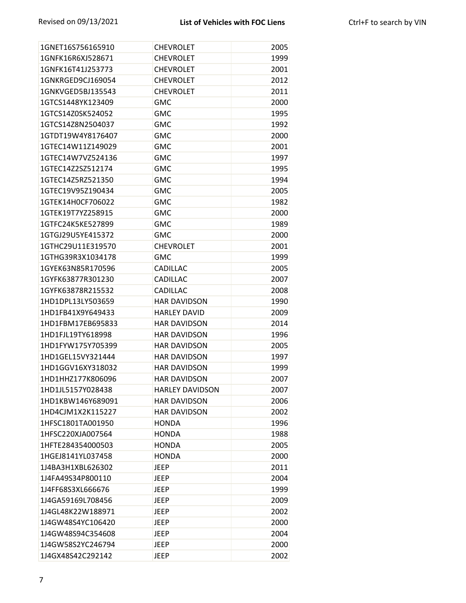| 1GNET16S756165910 | <b>CHEVROLET</b>       | 2005 |
|-------------------|------------------------|------|
| 1GNFK16R6XJ528671 | <b>CHEVROLET</b>       | 1999 |
| 1GNFK16T41J253773 | <b>CHEVROLET</b>       | 2001 |
| 1GNKRGED9CJ169054 | <b>CHEVROLET</b>       | 2012 |
| 1GNKVGED5BJ135543 | <b>CHEVROLET</b>       | 2011 |
| 1GTCS1448YK123409 | <b>GMC</b>             | 2000 |
| 1GTCS14Z0SK524052 | <b>GMC</b>             | 1995 |
| 1GTCS14Z8N2504037 | <b>GMC</b>             | 1992 |
| 1GTDT19W4Y8176407 | <b>GMC</b>             | 2000 |
| 1GTEC14W11Z149029 | <b>GMC</b>             | 2001 |
| 1GTEC14W7VZ524136 | <b>GMC</b>             | 1997 |
| 1GTEC14Z2SZ512174 | <b>GMC</b>             | 1995 |
| 1GTEC14Z5RZ521350 | <b>GMC</b>             | 1994 |
| 1GTEC19V95Z190434 | <b>GMC</b>             | 2005 |
| 1GTEK14H0CF706022 | <b>GMC</b>             | 1982 |
| 1GTEK19T7YZ258915 | <b>GMC</b>             | 2000 |
| 1GTFC24K5KE527899 | <b>GMC</b>             | 1989 |
| 1GTGJ29U5YE415372 | <b>GMC</b>             | 2000 |
| 1GTHC29U11E319570 | <b>CHEVROLET</b>       | 2001 |
| 1GTHG39R3X1034178 | <b>GMC</b>             | 1999 |
| 1GYEK63N85R170596 | <b>CADILLAC</b>        | 2005 |
| 1GYFK63877R301230 | CADILLAC               | 2007 |
| 1GYFK63878R215532 | CADILLAC               | 2008 |
| 1HD1DPL13LY503659 | <b>HAR DAVIDSON</b>    | 1990 |
| 1HD1FB41X9Y649433 | <b>HARLEY DAVID</b>    | 2009 |
| 1HD1FBM17EB695833 | <b>HAR DAVIDSON</b>    | 2014 |
| 1HD1FJL19TY618998 | <b>HAR DAVIDSON</b>    | 1996 |
| 1HD1FYW175Y705399 | <b>HAR DAVIDSON</b>    | 2005 |
| 1HD1GEL15VY321444 | <b>HAR DAVIDSON</b>    | 1997 |
| 1HD1GGV16XY318032 | <b>HAR DAVIDSON</b>    | 1999 |
| 1HD1HHZ177K806096 | <b>HAR DAVIDSON</b>    | 2007 |
| 1HD1JL5157Y028438 | <b>HARLEY DAVIDSON</b> | 2007 |
| 1HD1KBW146Y689091 | <b>HAR DAVIDSON</b>    | 2006 |
| 1HD4CJM1X2K115227 | <b>HAR DAVIDSON</b>    | 2002 |
| 1HFSC1801TA001950 | <b>HONDA</b>           | 1996 |
| 1HFSC220XJA007564 | <b>HONDA</b>           | 1988 |
| 1HFTE284354000503 | <b>HONDA</b>           | 2005 |
| 1HGEJ8141YL037458 | <b>HONDA</b>           | 2000 |
| 1J4BA3H1XBL626302 | <b>JEEP</b>            | 2011 |
| 1J4FA49S34P800110 | JEEP                   | 2004 |
| 1J4FF68S3XL666676 | <b>JEEP</b>            | 1999 |
| 1J4GA59169L708456 | JEEP                   | 2009 |
| 1J4GL48K22W188971 | <b>JEEP</b>            | 2002 |
| 1J4GW48S4YC106420 | <b>JEEP</b>            | 2000 |
| 1J4GW48S94C354608 | <b>JEEP</b>            | 2004 |
| 1J4GW58S2YC246794 | <b>JEEP</b>            | 2000 |
| 1J4GX48S42C292142 | <b>JEEP</b>            | 2002 |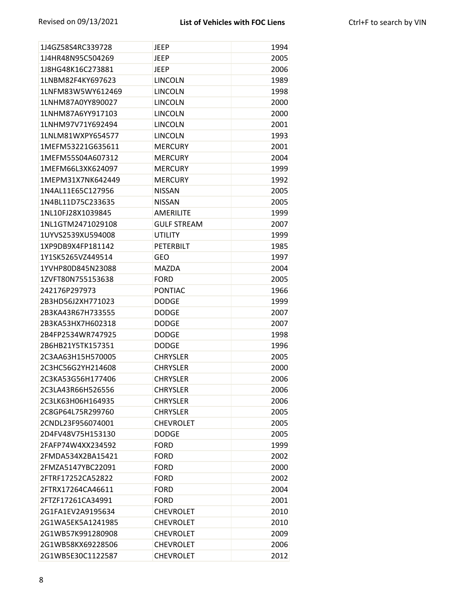| 1J4GZ58S4RC339728 | <b>JEEP</b>        | 1994 |
|-------------------|--------------------|------|
| 1J4HR48N95C504269 | <b>JEEP</b>        | 2005 |
| 1J8HG48K16C273881 | <b>JEEP</b>        | 2006 |
| 1LNBM82F4KY697623 | <b>LINCOLN</b>     | 1989 |
| 1LNFM83W5WY612469 | <b>LINCOLN</b>     | 1998 |
| 1LNHM87A0YY890027 | <b>LINCOLN</b>     | 2000 |
| 1LNHM87A6YY917103 | <b>LINCOLN</b>     | 2000 |
| 1LNHM97V71Y692494 | <b>LINCOLN</b>     | 2001 |
| 1LNLM81WXPY654577 | <b>LINCOLN</b>     | 1993 |
| 1MEFM53221G635611 | <b>MERCURY</b>     | 2001 |
| 1MEFM55S04A607312 | <b>MERCURY</b>     | 2004 |
| 1MEFM66L3XK624097 | <b>MERCURY</b>     | 1999 |
| 1MEPM31X7NK642449 | <b>MERCURY</b>     | 1992 |
| 1N4AL11E65C127956 | <b>NISSAN</b>      | 2005 |
| 1N4BL11D75C233635 | <b>NISSAN</b>      | 2005 |
| 1NL10FJ28X1039845 | <b>AMERILITE</b>   | 1999 |
| 1NL1GTM2471029108 | <b>GULF STREAM</b> | 2007 |
| 1UYVS2539XU594008 | <b>UTILITY</b>     | 1999 |
| 1XP9DB9X4FP181142 | <b>PETERBILT</b>   | 1985 |
| 1Y1SK5265VZ449514 | <b>GEO</b>         | 1997 |
| 1YVHP80D845N23088 | <b>MAZDA</b>       | 2004 |
| 1ZVFT80N755153638 | <b>FORD</b>        | 2005 |
| 242176P297973     | <b>PONTIAC</b>     | 1966 |
| 2B3HD56J2XH771023 | <b>DODGE</b>       | 1999 |
| 2B3KA43R67H733555 | <b>DODGE</b>       | 2007 |
| 2B3KA53HX7H602318 | <b>DODGE</b>       | 2007 |
| 2B4FP2534WR747925 | <b>DODGE</b>       | 1998 |
| 2B6HB21Y5TK157351 | <b>DODGE</b>       | 1996 |
| 2C3AA63H15H570005 | <b>CHRYSLER</b>    | 2005 |
| 2C3HC56G2YH214608 | <b>CHRYSLER</b>    | 2000 |
| 2C3KA53G56H177406 | <b>CHRYSLER</b>    | 2006 |
| 2C3LA43R66H526556 | <b>CHRYSLER</b>    | 2006 |
| 2C3LK63H06H164935 | <b>CHRYSLER</b>    | 2006 |
| 2C8GP64L75R299760 | <b>CHRYSLER</b>    | 2005 |
| 2CNDL23F956074001 | <b>CHEVROLET</b>   | 2005 |
| 2D4FV48V75H153130 | <b>DODGE</b>       | 2005 |
| 2FAFP74W4XX234592 | <b>FORD</b>        | 1999 |
| 2FMDA534X2BA15421 | <b>FORD</b>        | 2002 |
| 2FMZA5147YBC22091 | <b>FORD</b>        | 2000 |
| 2FTRF17252CA52822 | <b>FORD</b>        | 2002 |
| 2FTRX17264CA46611 | <b>FORD</b>        | 2004 |
| 2FTZF17261CA34991 | <b>FORD</b>        | 2001 |
| 2G1FA1EV2A9195634 | <b>CHEVROLET</b>   | 2010 |
| 2G1WA5EK5A1241985 | <b>CHEVROLET</b>   | 2010 |
| 2G1WB57K991280908 | <b>CHEVROLET</b>   | 2009 |
| 2G1WB58KX69228506 | <b>CHEVROLET</b>   | 2006 |
| 2G1WB5E30C1122587 | <b>CHEVROLET</b>   | 2012 |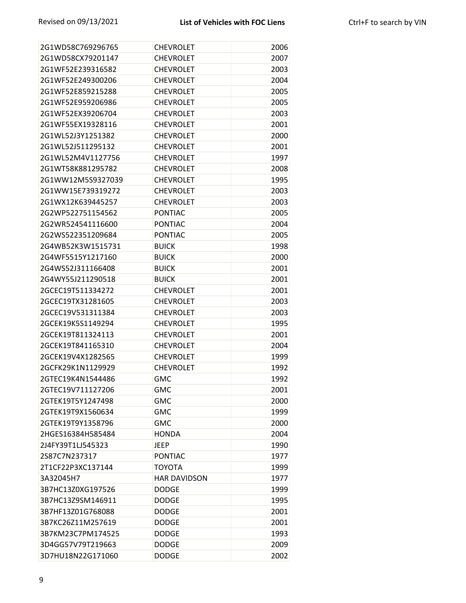| 2G1WD58C769296765 | <b>CHEVROLET</b>    | 2006 |
|-------------------|---------------------|------|
| 2G1WD58CX79201147 | <b>CHEVROLET</b>    | 2007 |
| 2G1WF52E239316582 | <b>CHEVROLET</b>    | 2003 |
| 2G1WF52E249300206 | <b>CHEVROLET</b>    | 2004 |
| 2G1WF52E859215288 | <b>CHEVROLET</b>    | 2005 |
| 2G1WF52E959206986 | <b>CHEVROLET</b>    | 2005 |
| 2G1WF52EX39206704 | <b>CHEVROLET</b>    | 2003 |
| 2G1WF55EX19328116 | <b>CHEVROLET</b>    | 2001 |
| 2G1WL52J3Y1251382 | <b>CHEVROLET</b>    | 2000 |
| 2G1WL52J511295132 | <b>CHEVROLET</b>    | 2001 |
| 2G1WL52M4V1127756 | <b>CHEVROLET</b>    | 1997 |
| 2G1WT58K881295782 | <b>CHEVROLET</b>    | 2008 |
| 2G1WW12M5S9327039 | <b>CHEVROLET</b>    | 1995 |
| 2G1WW15E739319272 | <b>CHEVROLET</b>    | 2003 |
| 2G1WX12K639445257 | <b>CHEVROLET</b>    | 2003 |
| 2G2WP522751154562 | <b>PONTIAC</b>      | 2005 |
| 2G2WR524541116600 | <b>PONTIAC</b>      | 2004 |
| 2G2WS522351209684 | <b>PONTIAC</b>      | 2005 |
| 2G4WB52K3W1515731 | <b>BUICK</b>        | 1998 |
| 2G4WF5515Y1217160 | <b>BUICK</b>        | 2000 |
| 2G4WS52J311166408 | <b>BUICK</b>        | 2001 |
| 2G4WY55J211290518 | <b>BUICK</b>        | 2001 |
| 2GCEC19T511334272 | <b>CHEVROLET</b>    | 2001 |
| 2GCEC19TX31281605 | <b>CHEVROLET</b>    | 2003 |
| 2GCEC19V531311384 | <b>CHEVROLET</b>    | 2003 |
| 2GCEK19K5S1149294 | <b>CHEVROLET</b>    | 1995 |
| 2GCEK19T811324113 | <b>CHEVROLET</b>    | 2001 |
| 2GCEK19T841165310 | <b>CHEVROLET</b>    | 2004 |
| 2GCEK19V4X1282565 | <b>CHEVROLET</b>    | 1999 |
| 2GCFK29K1N1129929 | <b>CHEVROLET</b>    | 1992 |
| 2GTEC19K4N1544486 | <b>GMC</b>          | 1992 |
| 2GTEC19V711127206 | <b>GMC</b>          | 2001 |
| 2GTEK19T5Y1247498 | <b>GMC</b>          | 2000 |
| 2GTEK19T9X1560634 | <b>GMC</b>          | 1999 |
| 2GTEK19T9Y1358796 | <b>GMC</b>          | 2000 |
| 2HGES16384H585484 | <b>HONDA</b>        | 2004 |
| 2J4FY39T1LJ545323 | <b>JEEP</b>         | 1990 |
| 2S87C7N237317     | <b>PONTIAC</b>      | 1977 |
| 2T1CF22P3XC137144 | <b>TOYOTA</b>       | 1999 |
| 3A32045H7         | <b>HAR DAVIDSON</b> | 1977 |
| 3B7HC13Z0XG197526 | <b>DODGE</b>        | 1999 |
| 3B7HC13Z9SM146911 | <b>DODGE</b>        | 1995 |
| 3B7HF13Z01G768088 | <b>DODGE</b>        | 2001 |
| 3B7KC26Z11M257619 | <b>DODGE</b>        | 2001 |
| 3B7KM23C7PM174525 | <b>DODGE</b>        | 1993 |
| 3D4GG57V79T219663 | <b>DODGE</b>        | 2009 |
| 3D7HU18N22G171060 | <b>DODGE</b>        | 2002 |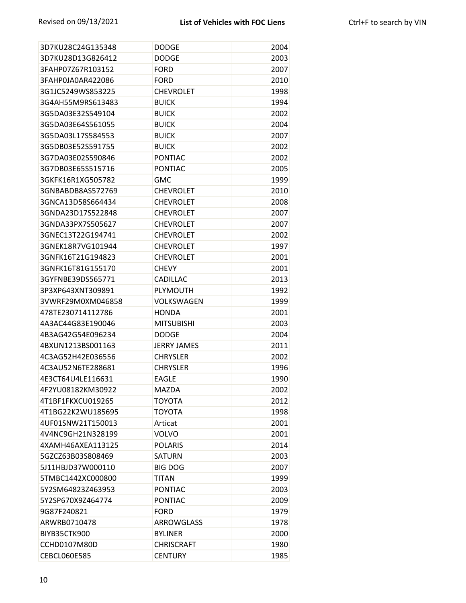| 3D7KU28C24G135348 | <b>DODGE</b>       | 2004 |
|-------------------|--------------------|------|
| 3D7KU28D13G826412 | <b>DODGE</b>       | 2003 |
| 3FAHP07Z67R103152 | <b>FORD</b>        | 2007 |
| 3FAHP0JA0AR422086 | <b>FORD</b>        | 2010 |
| 3G1JC5249WS853225 | <b>CHEVROLET</b>   | 1998 |
| 3G4AH55M9RS613483 | <b>BUICK</b>       | 1994 |
| 3G5DA03E32S549104 | <b>BUICK</b>       | 2002 |
| 3G5DA03E64S561055 | <b>BUICK</b>       | 2004 |
| 3G5DA03L17S584553 | <b>BUICK</b>       | 2007 |
| 3G5DB03E52S591755 | <b>BUICK</b>       | 2002 |
| 3G7DA03E02S590846 | <b>PONTIAC</b>     | 2002 |
| 3G7DB03E65S515716 | <b>PONTIAC</b>     | 2005 |
| 3GKFK16R1XG505782 | <b>GMC</b>         | 1999 |
| 3GNBABDB8AS572769 | <b>CHEVROLET</b>   | 2010 |
| 3GNCA13D58S664434 | <b>CHEVROLET</b>   | 2008 |
| 3GNDA23D17S522848 | <b>CHEVROLET</b>   | 2007 |
| 3GNDA33PX7S505627 | <b>CHEVROLET</b>   | 2007 |
| 3GNEC13T22G194741 | <b>CHEVROLET</b>   | 2002 |
| 3GNEK18R7VG101944 | <b>CHEVROLET</b>   | 1997 |
| 3GNFK16T21G194823 | <b>CHEVROLET</b>   | 2001 |
| 3GNFK16T81G155170 | <b>CHEVY</b>       | 2001 |
| 3GYFNBE39DS565771 | CADILLAC           | 2013 |
| 3P3XP643XNT309891 | PLYMOUTH           | 1992 |
| 3VWRF29M0XM046858 | VOLKSWAGEN         | 1999 |
| 478TE230714112786 | <b>HONDA</b>       | 2001 |
| 4A3AC44G83E190046 | <b>MITSUBISHI</b>  | 2003 |
| 4B3AG42G54E096234 | <b>DODGE</b>       | 2004 |
| 4BXUN1213BS001163 | <b>JERRY JAMES</b> | 2011 |
| 4C3AG52H42E036556 | <b>CHRYSLER</b>    | 2002 |
| 4C3AU52N6TE288681 | <b>CHRYSLER</b>    | 1996 |
| 4E3CT64U4LE116631 | <b>EAGLE</b>       | 1990 |
| 4F2YU08182KM30922 | <b>MAZDA</b>       | 2002 |
| 4T1BF1FKXCU019265 | TOYOTA             | 2012 |
| 4T1BG22K2WU185695 | <b>TOYOTA</b>      | 1998 |
| 4UF01SNW21T150013 | Articat            | 2001 |
| 4V4NC9GH21N328199 | <b>VOLVO</b>       | 2001 |
| 4XAMH46AXEA113125 | <b>POLARIS</b>     | 2014 |
| 5GZCZ63B03S808469 | <b>SATURN</b>      | 2003 |
| 5J11HBJD37W000110 | <b>BIG DOG</b>     | 2007 |
| 5TMBC1442XC000800 | <b>TITAN</b>       | 1999 |
| 5Y2SM64823Z463953 | <b>PONTIAC</b>     | 2003 |
| 5Y2SP670X9Z464774 | <b>PONTIAC</b>     | 2009 |
| 9G87F240821       | <b>FORD</b>        | 1979 |
| ARWRB0710478      | <b>ARROWGLASS</b>  | 1978 |
| BIYB35CTK900      | <b>BYLINER</b>     | 2000 |
| CCHD0107M80D      | <b>CHRISCRAFT</b>  | 1980 |
| CEBCL060E585      | <b>CENTURY</b>     | 1985 |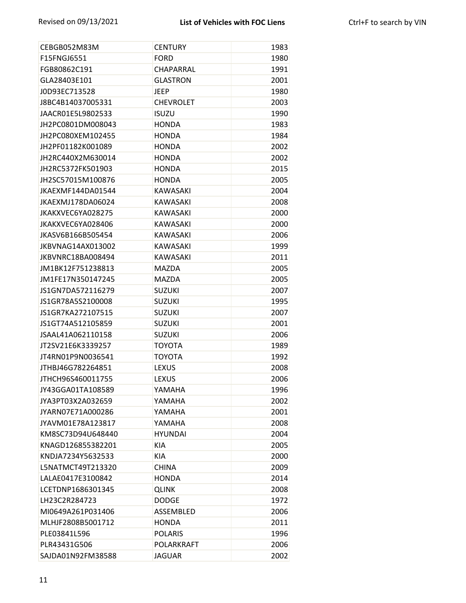| CEBGB052M83M      | <b>CENTURY</b>    | 1983 |
|-------------------|-------------------|------|
| F15FNGJ6551       | <b>FORD</b>       | 1980 |
| FGB80862C191      | CHAPARRAL         | 1991 |
| GLA28403E101      | <b>GLASTRON</b>   | 2001 |
| J0D93EC713528     | <b>JEEP</b>       | 1980 |
| J8BC4B14037005331 | <b>CHEVROLET</b>  | 2003 |
| JAACR01E5L9802533 | <b>ISUZU</b>      | 1990 |
| JH2PC0801DM008043 | <b>HONDA</b>      | 1983 |
| JH2PC080XEM102455 | <b>HONDA</b>      | 1984 |
| JH2PF01182K001089 | <b>HONDA</b>      | 2002 |
| JH2RC440X2M630014 | <b>HONDA</b>      | 2002 |
| JH2RC5372FK501903 | <b>HONDA</b>      | 2015 |
| JH2SC57015M100876 | <b>HONDA</b>      | 2005 |
| JKAEXMF144DA01544 | <b>KAWASAKI</b>   | 2004 |
| JKAEXMJ178DA06024 | <b>KAWASAKI</b>   | 2008 |
| JKAKXVEC6YA028275 | <b>KAWASAKI</b>   | 2000 |
| JKAKXVEC6YA028406 | <b>KAWASAKI</b>   | 2000 |
| JKASV6B166B505454 | <b>KAWASAKI</b>   | 2006 |
| JKBVNAG14AX013002 | <b>KAWASAKI</b>   | 1999 |
| JKBVNRC18BA008494 | <b>KAWASAKI</b>   | 2011 |
| JM1BK12F751238813 | <b>MAZDA</b>      | 2005 |
| JM1FE17N350147245 | <b>MAZDA</b>      | 2005 |
| JS1GN7DA572116279 | <b>SUZUKI</b>     | 2007 |
| JS1GR78A5S2100008 | <b>SUZUKI</b>     | 1995 |
| JS1GR7KA272107515 | <b>SUZUKI</b>     | 2007 |
| JS1GT74A512105859 | <b>SUZUKI</b>     | 2001 |
| JSAAL41A062110158 | <b>SUZUKI</b>     | 2006 |
| JT2SV21E6K3339257 | <b>TOYOTA</b>     | 1989 |
| JT4RN01P9N0036541 | <b>TOYOTA</b>     | 1992 |
| JTHBJ46G782264851 | <b>LEXUS</b>      | 2008 |
| JTHCH96S460011755 | <b>LEXUS</b>      | 2006 |
| JY43GGA01TA108589 | YAMAHA            | 1996 |
| JYA3PT03X2A032659 | YAMAHA            | 2002 |
| JYARN07E71A000286 | YAMAHA            | 2001 |
| JYAVM01E78A123817 | YAMAHA            | 2008 |
| KM8SC73D94U648440 | <b>HYUNDAI</b>    | 2004 |
| KNAGD126855382201 | <b>KIA</b>        | 2005 |
| KNDJA7234Y5632533 | KIA               | 2000 |
| L5NATMCT49T213320 | <b>CHINA</b>      | 2009 |
| LALAE0417E3100842 | <b>HONDA</b>      | 2014 |
| LCETDNP1686301345 | <b>QLINK</b>      | 2008 |
| LH23C2R284723     | <b>DODGE</b>      | 1972 |
| MI0649A261P031406 | ASSEMBLED         | 2006 |
| MLHJF2808B5001712 | <b>HONDA</b>      | 2011 |
| PLE03841L596      | <b>POLARIS</b>    | 1996 |
| PLR43431G506      | <b>POLARKRAFT</b> | 2006 |
| SAJDA01N92FM38588 | <b>JAGUAR</b>     | 2002 |